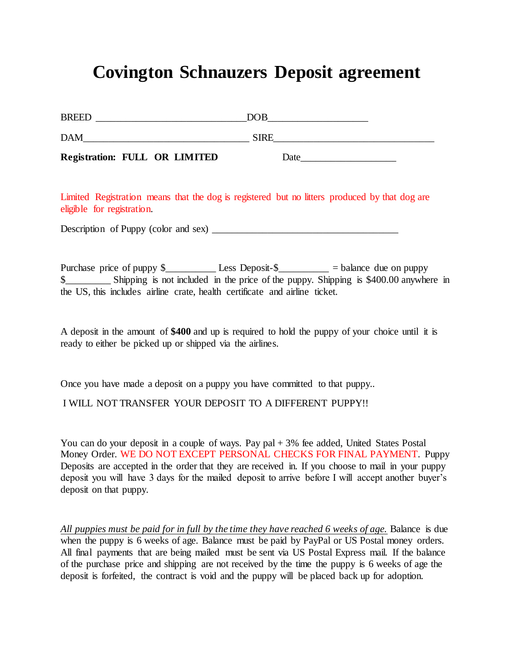## **Covington Schnauzers Deposit agreement**

| <b>Registration: FULL OR LIMITED</b> | Date        |  |
|--------------------------------------|-------------|--|
| <b>DAM</b>                           | <b>SIRE</b> |  |
| <b>BREED</b>                         | DOB         |  |

Limited Registration means that the dog is registered but no litters produced by that dog are eligible for registration.

Description of Puppy (color and sex) \_\_\_\_\_\_\_\_\_\_\_\_\_\_\_\_\_\_\_\_\_\_\_\_\_\_\_\_\_\_\_\_\_\_\_\_\_

Purchase price of puppy  $\frac{1}{2}$  Less Deposit- $\frac{1}{2}$  = balance due on puppy \$\_\_\_\_\_\_\_\_\_ Shipping is not included in the price of the puppy. Shipping is \$400.00 anywhere in the US, this includes airline crate, health certificate and airline ticket.

A deposit in the amount of **\$400** and up is required to hold the puppy of your choice until it is ready to either be picked up or shipped via the airlines.

Once you have made a deposit on a puppy you have committed to that puppy..

I WILL NOT TRANSFER YOUR DEPOSIT TO A DIFFERENT PUPPY!!

You can do your deposit in a couple of ways. Pay pal + 3% fee added, United States Postal Money Order. WE DO NOT EXCEPT PERSONAL CHECKS FOR FINAL PAYMENT. Puppy Deposits are accepted in the order that they are received in. If you choose to mail in your puppy deposit you will have 3 days for the mailed deposit to arrive before I will accept another buyer's deposit on that puppy.

*All puppies must be paid for in full by the time they have reached 6 weeks of age.* Balance is due when the puppy is 6 weeks of age. Balance must be paid by PayPal or US Postal money orders. All final payments that are being mailed must be sent via US Postal Express mail. If the balance of the purchase price and shipping are not received by the time the puppy is 6 weeks of age the deposit is forfeited, the contract is void and the puppy will be placed back up for adoption.